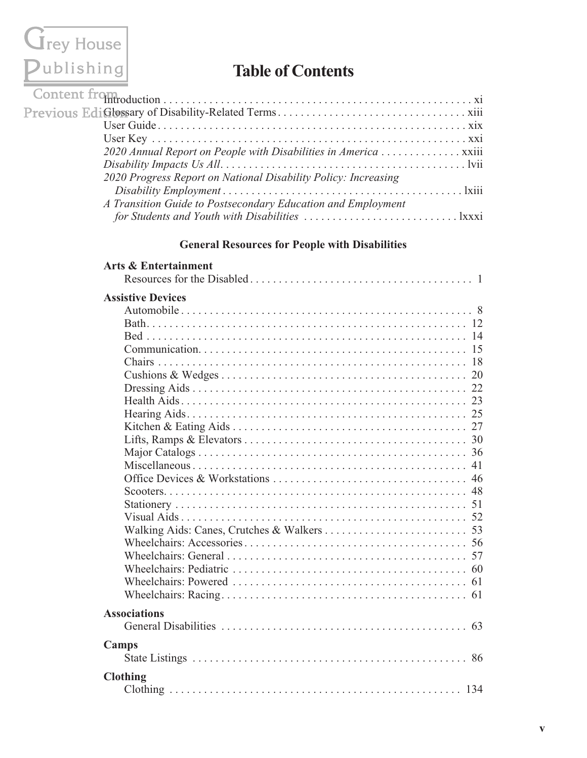# Grey House<br>Publishing

### **Table of Contents**

| 2020 Annual Report on People with Disabilities in America  xxiii |  |
|------------------------------------------------------------------|--|
|                                                                  |  |
| 2020 Progress Report on National Disability Policy: Increasing   |  |
|                                                                  |  |
| A Transition Guide to Postsecondary Education and Employment     |  |
|                                                                  |  |

#### **General Resources for People with Disabilities**

| <b>Arts &amp; Entertainment</b> |
|---------------------------------|
|                                 |
| <b>Assistive Devices</b>        |
|                                 |
|                                 |
|                                 |
|                                 |
|                                 |
|                                 |
|                                 |
|                                 |
|                                 |
|                                 |
|                                 |
|                                 |
|                                 |
|                                 |
|                                 |
|                                 |
|                                 |
|                                 |
|                                 |
|                                 |
|                                 |
|                                 |
|                                 |
| <b>Associations</b>             |
| 63                              |
| Camps                           |
|                                 |
| <b>Clothing</b>                 |
|                                 |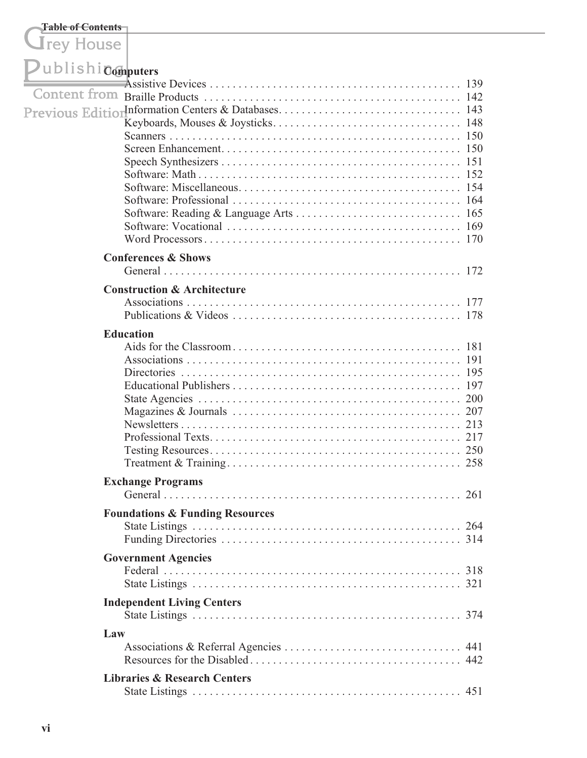#### **Table of Contents**

**I**rey House

| UDIISNI Computers |                                            |
|-------------------|--------------------------------------------|
|                   |                                            |
|                   |                                            |
|                   |                                            |
|                   |                                            |
|                   |                                            |
|                   |                                            |
|                   |                                            |
|                   |                                            |
|                   |                                            |
|                   |                                            |
|                   |                                            |
|                   |                                            |
|                   | <b>Conferences &amp; Shows</b>             |
|                   |                                            |
|                   |                                            |
|                   | <b>Construction &amp; Architecture</b>     |
|                   |                                            |
|                   |                                            |
| <b>Education</b>  |                                            |
|                   |                                            |
|                   |                                            |
|                   |                                            |
|                   |                                            |
|                   |                                            |
|                   |                                            |
|                   |                                            |
|                   |                                            |
|                   |                                            |
|                   | <b>Exchange Programs</b>                   |
|                   | $\ldots$ 261                               |
|                   |                                            |
|                   | <b>Foundations &amp; Funding Resources</b> |
|                   |                                            |
|                   |                                            |
|                   | <b>Government Agencies</b>                 |
|                   |                                            |
|                   |                                            |
|                   | <b>Independent Living Centers</b>          |
|                   |                                            |
| Law               |                                            |
|                   |                                            |
|                   |                                            |
|                   | <b>Libraries &amp; Research Centers</b>    |
|                   |                                            |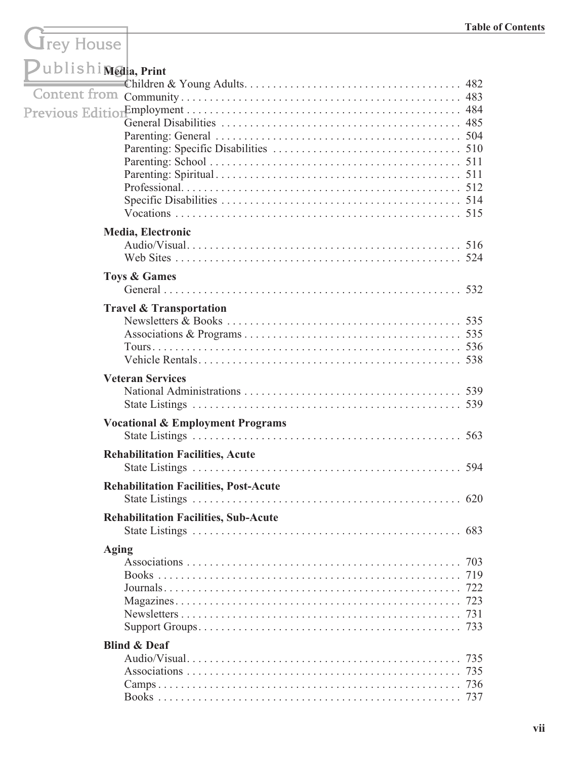## Grey House

| Dublishi Media, Print |                                              |            |
|-----------------------|----------------------------------------------|------------|
| Content from          |                                              |            |
|                       | Media, Electronic                            |            |
|                       |                                              |            |
|                       | <b>Toys &amp; Games</b>                      |            |
|                       | <b>Travel &amp; Transportation</b>           |            |
|                       | <b>Veteran Services</b>                      |            |
|                       | <b>Vocational &amp; Employment Programs</b>  |            |
|                       | <b>Rehabilitation Facilities, Acute</b>      | 594        |
|                       | <b>Rehabilitation Facilities, Post-Acute</b> | 620        |
|                       | <b>Rehabilitation Facilities, Sub-Acute</b>  |            |
| <b>Aging</b>          |                                              | 719<br>731 |
|                       | <b>Blind &amp; Deaf</b>                      | 735<br>736 |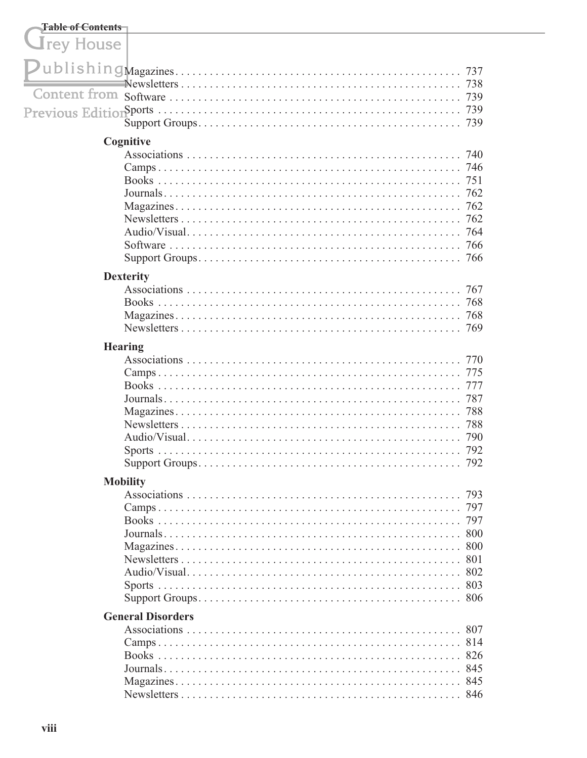| <b>Table of Contents</b> |                          |                                                      |
|--------------------------|--------------------------|------------------------------------------------------|
| <b>J</b> rey House       |                          |                                                      |
|                          |                          | 737<br>738<br>739<br>739                             |
|                          | Cognitive                |                                                      |
|                          |                          | 740<br>746<br>751<br>762<br>762<br>762<br>764<br>766 |
|                          | <b>Dexterity</b>         |                                                      |
|                          |                          | 767<br>768<br>768                                    |
| <b>Hearing</b>           |                          |                                                      |
|                          |                          | 770<br>775<br>777<br>787<br>788<br>788<br>790<br>792 |
|                          | <b>Mobility</b>          |                                                      |
|                          |                          | 797                                                  |
|                          | <b>General Disorders</b> |                                                      |
|                          |                          |                                                      |